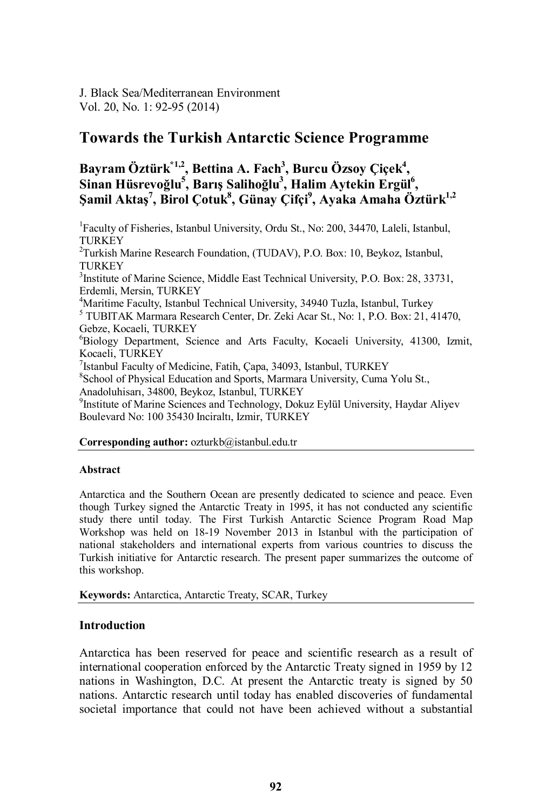J. Black Sea/Mediterranean Environment Vol. 20, No. 1: 92-95 (2014)

# **Towards the Turkish Antarctic Science Programme**

## Bayram Öztürk<sup>\*1,2</sup>, Bettina A. Fach<sup>3</sup>, Burcu Özsoy Çiçek<sup>4</sup>,  $\mathbf{S}$ inan Hüsrevoğlu<sup>5</sup>, Barış Salihoğlu<sup>3</sup>, Halim Aytekin Ergül<sup>6</sup>, **Şamil Aktaş<sup>7</sup> , Birol Çotuk8 , Günay Çifçi 9 , Ayaka Amaha Öztürk1,2**

<sup>1</sup> Faculty of Fisheries, Istanbul University, Ordu St., No: 200, 34470, Laleli, Istanbul, TURKEY <sup>2</sup>Turkish Marine Research Foundation, (TUDAV), P.O. Box: 10, Beykoz, Istanbul, TURKEY <sup>3</sup> Institute of Marine Science, Middle East Technical University, P.O. Box: 28, 33731, Erdemli, Mersin, TURKEY<br><sup>4</sup>Maritime Faculty, Istanbul Technical University, 34940 Tuzla, Istanbul, Turkey  $<sup>5</sup> TUBITAK Marmara Research Center, Dr. Zeki Acar St., No. 1, P.O. Box: 21, 41470,$ </sup> Gebze, Kocaeli, TURKEY 6 Biology Department, Science and Arts Faculty, Kocaeli University, 41300, Izmit, Kocaeli, TURKEY <sup>7</sup> Istanbul Faculty of Medicine, Fatih, Çapa, 34093, Istanbul, TURKEY<br><sup>8</sup>School of Physical Education and Sports, Marmara University, Cuma School of Physical Education and Sports, Marmara University, Cuma Yolu St., Anadoluhisarı, 34800, Beykoz, Istanbul, TURKEY 9 Institute of Marine Sciences and Technology, Dokuz Eylül University, Haydar Aliyev Boulevard No: 100 35430 Inciraltı, Izmir, TURKEY

### **Corresponding author:** ozturkb@istanbul.edu.tr

#### **Abstract**

Antarctica and the Southern Ocean are presently dedicated to science and peace. Even though Turkey signed the Antarctic Treaty in 1995, it has not conducted any scientific study there until today. The First Turkish Antarctic Science Program Road Map Workshop was held on 18-19 November 2013 in Istanbul with the participation of national stakeholders and international experts from various countries to discuss the Turkish initiative for Antarctic research. The present paper summarizes the outcome of this workshop.

**Keywords:** Antarctica, Antarctic Treaty, SCAR, Turkey

## **Introduction**

Antarctica has been reserved for peace and scientific research as a result of international cooperation enforced by the Antarctic Treaty signed in 1959 by 12 nations in Washington, D.C. At present the Antarctic treaty is signed by 50 nations. Antarctic research until today has enabled discoveries of fundamental societal importance that could not have been achieved without a substantial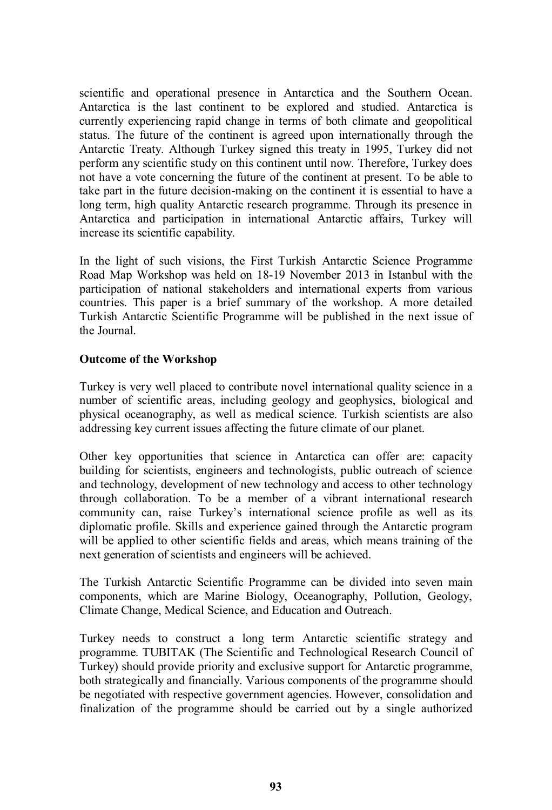scientific and operational presence in Antarctica and the Southern Ocean. Antarctica is the last continent to be explored and studied. Antarctica is currently experiencing rapid change in terms of both climate and geopolitical status. The future of the continent is agreed upon internationally through the Antarctic Treaty. Although Turkey signed this treaty in 1995, Turkey did not perform any scientific study on this continent until now. Therefore, Turkey does not have a vote concerning the future of the continent at present. To be able to take part in the future decision-making on the continent it is essential to have a long term, high quality Antarctic research programme. Through its presence in Antarctica and participation in international Antarctic affairs, Turkey will increase its scientific capability.

In the light of such visions, the First Turkish Antarctic Science Programme Road Map Workshop was held on 18-19 November 2013 in Istanbul with the participation of national stakeholders and international experts from various countries. This paper is a brief summary of the workshop. A more detailed Turkish Antarctic Scientific Programme will be published in the next issue of the Journal.

## **Outcome of the Workshop**

Turkey is very well placed to contribute novel international quality science in a number of scientific areas, including geology and geophysics, biological and physical oceanography, as well as medical science. Turkish scientists are also addressing key current issues affecting the future climate of our planet.

Other key opportunities that science in Antarctica can offer are: capacity building for scientists, engineers and technologists, public outreach of science and technology, development of new technology and access to other technology through collaboration. To be a member of a vibrant international research community can, raise Turkey's international science profile as well as its diplomatic profile. Skills and experience gained through the Antarctic program will be applied to other scientific fields and areas, which means training of the next generation of scientists and engineers will be achieved.

The Turkish Antarctic Scientific Programme can be divided into seven main components, which are Marine Biology, Oceanography, Pollution, Geology, Climate Change, Medical Science, and Education and Outreach.

Turkey needs to construct a long term Antarctic scientific strategy and programme. TUBITAK (The Scientific and Technological Research Council of Turkey) should provide priority and exclusive support for Antarctic programme, both strategically and financially. Various components of the programme should be negotiated with respective government agencies. However, consolidation and finalization of the programme should be carried out by a single authorized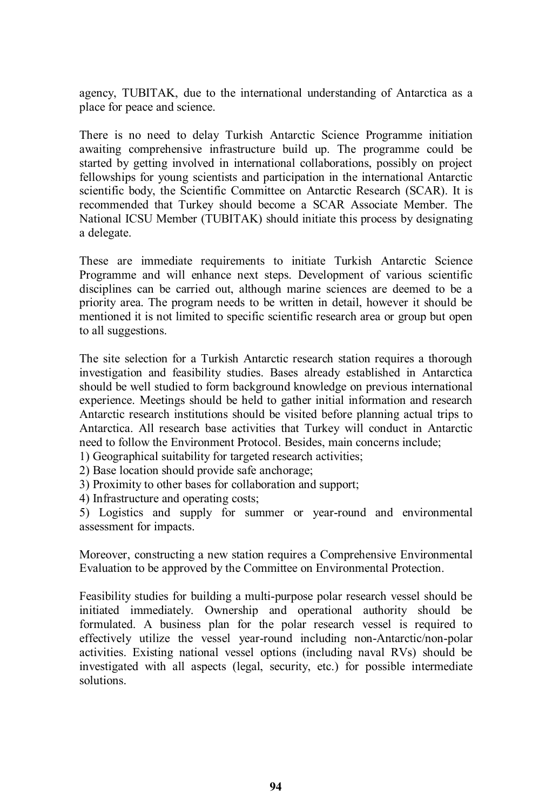agency, TUBITAK, due to the international understanding of Antarctica as a place for peace and science.

There is no need to delay Turkish Antarctic Science Programme initiation awaiting comprehensive infrastructure build up. The programme could be started by getting involved in international collaborations, possibly on project fellowships for young scientists and participation in the international Antarctic scientific body, the Scientific Committee on Antarctic Research (SCAR). It is recommended that Turkey should become a SCAR Associate Member. The National ICSU Member (TUBITAK) should initiate this process by designating a delegate.

These are immediate requirements to initiate Turkish Antarctic Science Programme and will enhance next steps. Development of various scientific disciplines can be carried out, although marine sciences are deemed to be a priority area. The program needs to be written in detail, however it should be mentioned it is not limited to specific scientific research area or group but open to all suggestions.

The site selection for a Turkish Antarctic research station requires a thorough investigation and feasibility studies. Bases already established in Antarctica should be well studied to form background knowledge on previous international experience. Meetings should be held to gather initial information and research Antarctic research institutions should be visited before planning actual trips to Antarctica. All research base activities that Turkey will conduct in Antarctic need to follow the Environment Protocol. Besides, main concerns include;

1) Geographical suitability for targeted research activities;

2) Base location should provide safe anchorage;

3) Proximity to other bases for collaboration and support;

4) Infrastructure and operating costs;

5) Logistics and supply for summer or year-round and environmental assessment for impacts.

Moreover, constructing a new station requires a Comprehensive Environmental Evaluation to be approved by the Committee on Environmental Protection.

Feasibility studies for building a multi-purpose polar research vessel should be initiated immediately. Ownership and operational authority should be formulated. A business plan for the polar research vessel is required to effectively utilize the vessel year-round including non-Antarctic/non-polar activities. Existing national vessel options (including naval RVs) should be investigated with all aspects (legal, security, etc.) for possible intermediate solutions.